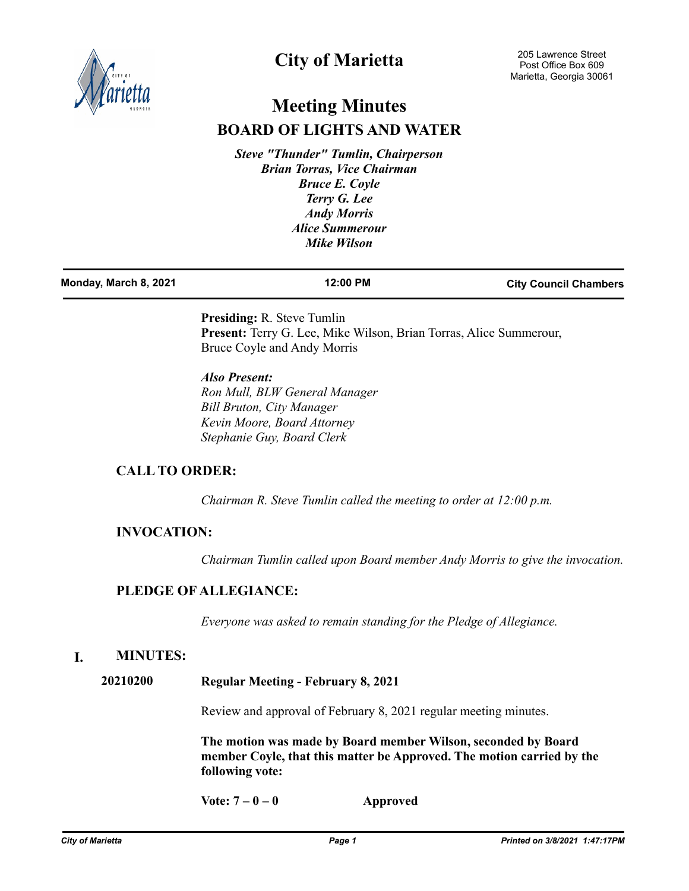

# **City of Marietta**

# **Meeting Minutes BOARD OF LIGHTS AND WATER**

*Steve "Thunder" Tumlin, Chairperson Brian Torras, Vice Chairman Bruce E. Coyle Terry G. Lee Andy Morris Alice Summerour Mike Wilson*

| Monday, March 8, 2021 | 12:00 PM | <b>City Council Chambers</b> |
|-----------------------|----------|------------------------------|
|                       |          |                              |

**Presiding:** R. Steve Tumlin **Present:** Terry G. Lee, Mike Wilson, Brian Torras, Alice Summerour, Bruce Coyle and Andy Morris

*Also Present: Ron Mull, BLW General Manager Bill Bruton, City Manager Kevin Moore, Board Attorney Stephanie Guy, Board Clerk*

# **CALL TO ORDER:**

*Chairman R. Steve Tumlin called the meeting to order at 12:00 p.m.*

# **INVOCATION:**

*Chairman Tumlin called upon Board member Andy Morris to give the invocation.*

# **PLEDGE OF ALLEGIANCE:**

*Everyone was asked to remain standing for the Pledge of Allegiance.*

# **I. MINUTES:**

**20210200 Regular Meeting - February 8, 2021**

Review and approval of February 8, 2021 regular meeting minutes.

**The motion was made by Board member Wilson, seconded by Board member Coyle, that this matter be Approved. The motion carried by the following vote:**

**Vote: 7 – 0 – 0 Approved**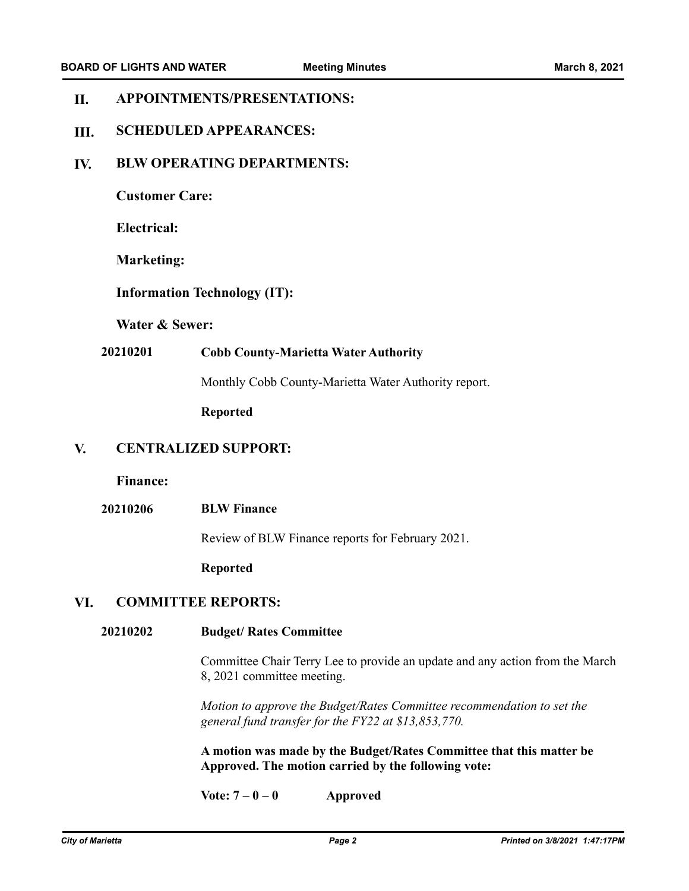#### **APPOINTMENTS/PRESENTATIONS: II.**

#### **SCHEDULED APPEARANCES: III.**

#### **BLW OPERATING DEPARTMENTS: IV.**

**Customer Care:**

**Electrical:**

**Marketing:**

**Information Technology (IT):**

**Water & Sewer:**

## **20210201 Cobb County-Marietta Water Authority**

Monthly Cobb County-Marietta Water Authority report.

**Reported**

#### **CENTRALIZED SUPPORT: V.**

**Finance:**

**20210206 BLW Finance**

Review of BLW Finance reports for February 2021.

**Reported**

### **VI. COMMITTEE REPORTS:**

#### **Budget/ Rates Committee 20210202**

Committee Chair Terry Lee to provide an update and any action from the March 8, 2021 committee meeting.

*Motion to approve the Budget/Rates Committee recommendation to set the general fund transfer for the FY22 at \$13,853,770.* 

**A motion was made by the Budget/Rates Committee that this matter be Approved. The motion carried by the following vote:**

**Vote: 7 – 0 – 0 Approved**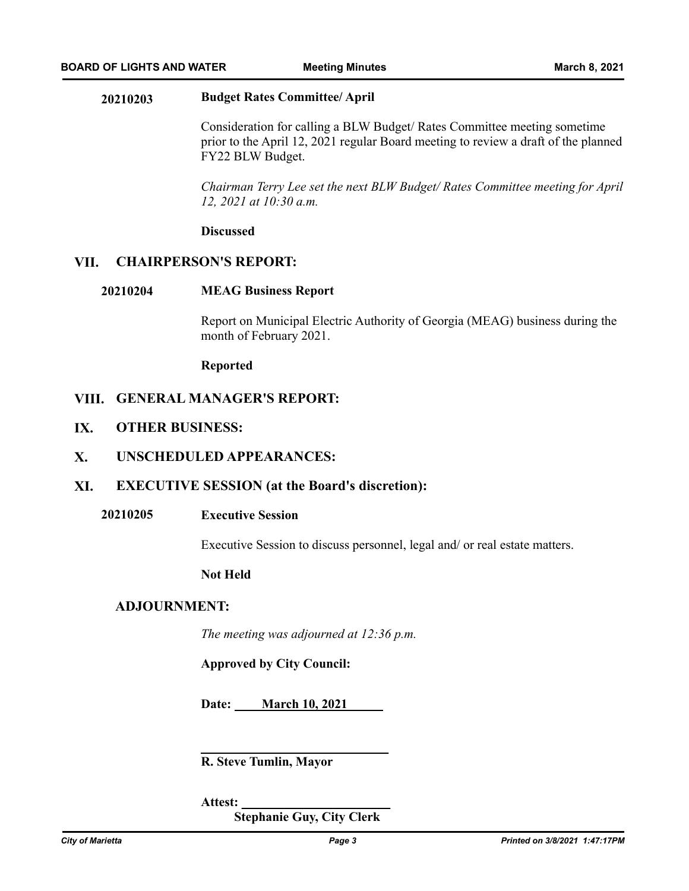### **20210203 Budget Rates Committee/ April**

Consideration for calling a BLW Budget/ Rates Committee meeting sometime prior to the April 12, 2021 regular Board meeting to review a draft of the planned FY22 BLW Budget.

*Chairman Terry Lee set the next BLW Budget/ Rates Committee meeting for April 12, 2021 at 10:30 a.m.*

### **Discussed**

### **VII. CHAIRPERSON'S REPORT:**

### **20210204 MEAG Business Report**

Report on Municipal Electric Authority of Georgia (MEAG) business during the month of February 2021.

**Reported**

# **GENERAL MANAGER'S REPORT: VIII.**

**OTHER BUSINESS: IX.**

#### **UNSCHEDULED APPEARANCES: X.**

- **EXECUTIVE SESSION (at the Board's discretion): XI.**
	- **20210205 Executive Session**

Executive Session to discuss personnel, legal and/ or real estate matters.

### **Not Held**

### **ADJOURNMENT:**

*The meeting was adjourned at 12:36 p.m.*

**Approved by City Council:**

**Date: March 10, 2021**

**\_\_\_\_\_\_\_\_\_\_\_\_\_\_\_\_\_\_\_\_\_\_\_\_\_\_\_\_\_**

**R. Steve Tumlin, Mayor**

**Attest: \_\_\_\_\_\_\_\_\_\_\_\_\_\_\_\_\_\_\_\_\_\_\_**

 **Stephanie Guy, City Clerk**